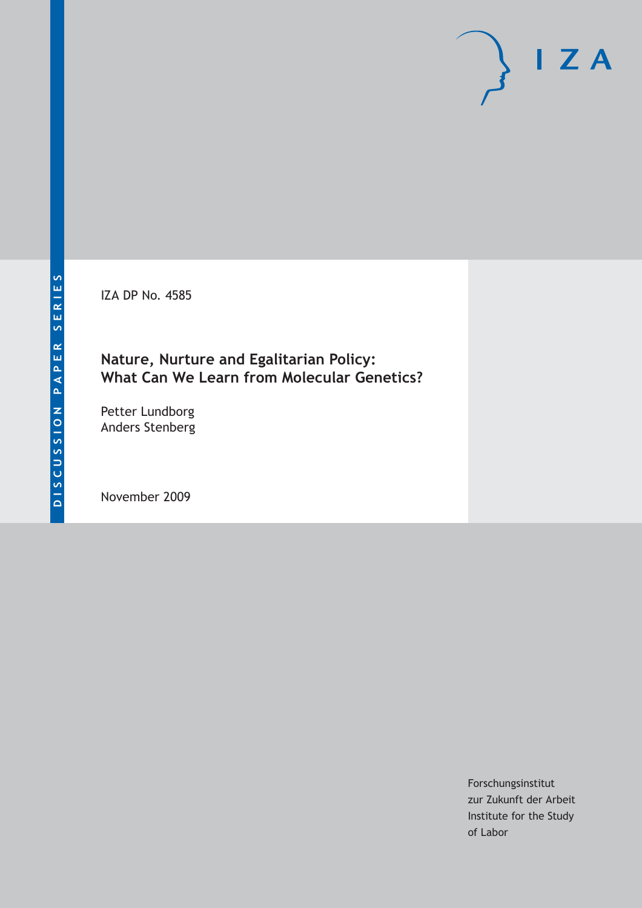IZA DP No. 4585

### **Nature, Nurture and Egalitarian Policy: What Can We Learn from Molecular Genetics?**

Petter Lundborg Anders Stenberg

November 2009

Forschungsinstitut zur Zukunft der Arbeit Institute for the Study of Labor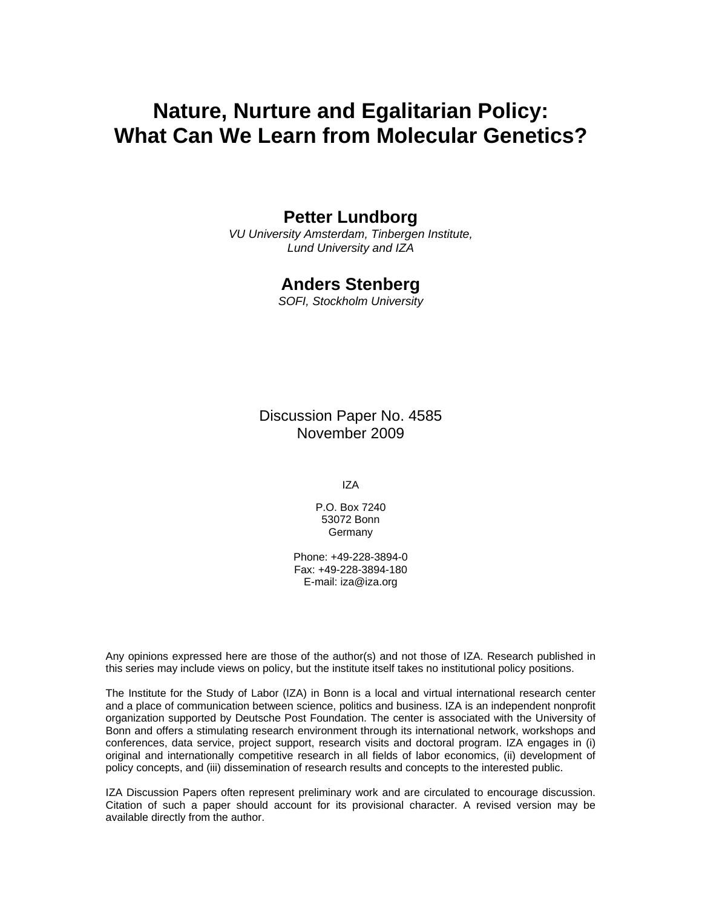# **Nature, Nurture and Egalitarian Policy: What Can We Learn from Molecular Genetics?**

### **Petter Lundborg**

*VU University Amsterdam, Tinbergen Institute, Lund University and IZA* 

#### **Anders Stenberg**

*SOFI, Stockholm University* 

Discussion Paper No. 4585 November 2009

IZA

P.O. Box 7240 53072 Bonn Germany

Phone: +49-228-3894-0 Fax: +49-228-3894-180 E-mail: iza@iza.org

Any opinions expressed here are those of the author(s) and not those of IZA. Research published in this series may include views on policy, but the institute itself takes no institutional policy positions.

The Institute for the Study of Labor (IZA) in Bonn is a local and virtual international research center and a place of communication between science, politics and business. IZA is an independent nonprofit organization supported by Deutsche Post Foundation. The center is associated with the University of Bonn and offers a stimulating research environment through its international network, workshops and conferences, data service, project support, research visits and doctoral program. IZA engages in (i) original and internationally competitive research in all fields of labor economics, (ii) development of policy concepts, and (iii) dissemination of research results and concepts to the interested public.

IZA Discussion Papers often represent preliminary work and are circulated to encourage discussion. Citation of such a paper should account for its provisional character. A revised version may be available directly from the author.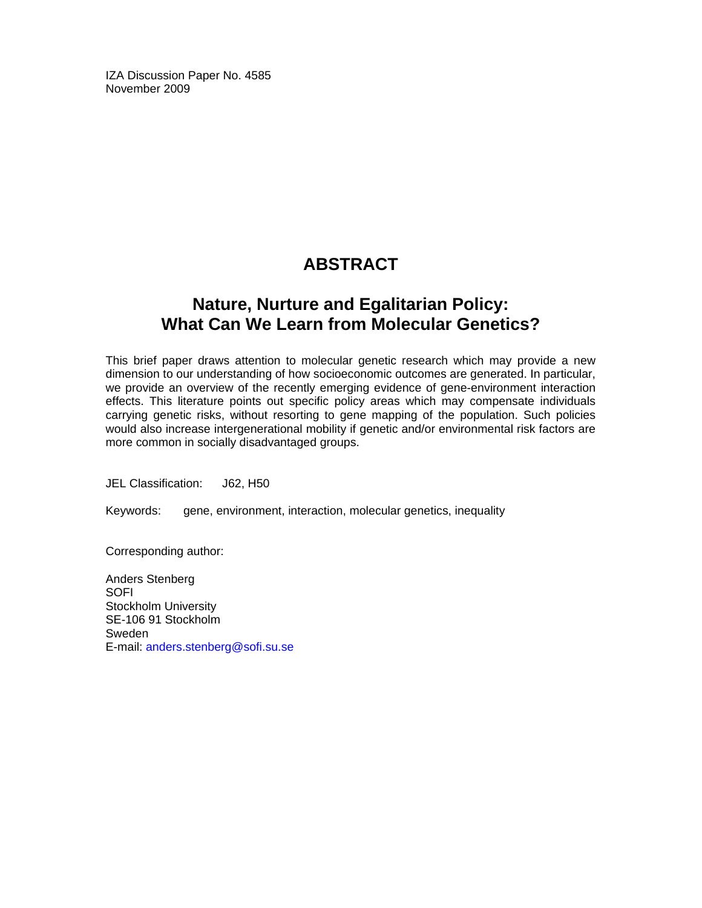IZA Discussion Paper No. 4585 November 2009

## **ABSTRACT**

### **Nature, Nurture and Egalitarian Policy: What Can We Learn from Molecular Genetics?**

This brief paper draws attention to molecular genetic research which may provide a new dimension to our understanding of how socioeconomic outcomes are generated. In particular, we provide an overview of the recently emerging evidence of gene-environment interaction effects. This literature points out specific policy areas which may compensate individuals carrying genetic risks, without resorting to gene mapping of the population. Such policies would also increase intergenerational mobility if genetic and/or environmental risk factors are more common in socially disadvantaged groups.

JEL Classification: J62, H50

Keywords: gene, environment, interaction, molecular genetics, inequality

Corresponding author:

Anders Stenberg **SOFI** Stockholm University SE-106 91 Stockholm Sweden E-mail: anders.stenberg@sofi.su.se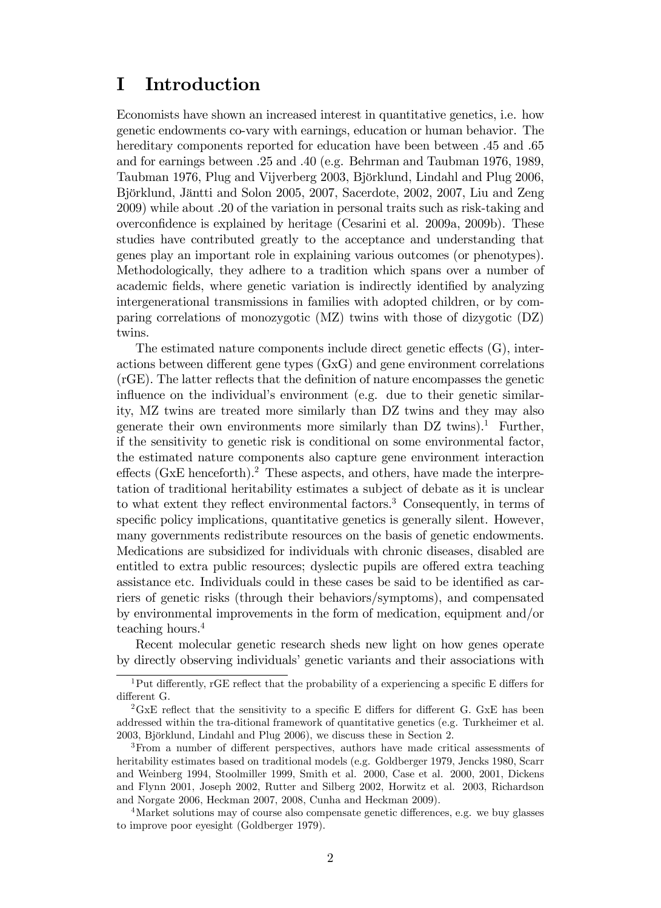## I Introduction

Economists have shown an increased interest in quantitative genetics, i.e. how genetic endowments co-vary with earnings, education or human behavior. The hereditary components reported for education have been between .45 and .65 and for earnings between .25 and .40 (e.g. Behrman and Taubman 1976, 1989, Taubman 1976, Plug and Vijverberg 2003, Björklund, Lindahl and Plug 2006, Björklund, Jäntti and Solon 2005, 2007, Sacerdote, 2002, 2007, Liu and Zeng 2009) while about .20 of the variation in personal traits such as risk-taking and overconfidence is explained by heritage (Cesarini et al. 2009a, 2009b). These studies have contributed greatly to the acceptance and understanding that genes play an important role in explaining various outcomes (or phenotypes). Methodologically, they adhere to a tradition which spans over a number of academic fields, where genetic variation is indirectly identified by analyzing intergenerational transmissions in families with adopted children, or by comparing correlations of monozygotic (MZ) twins with those of dizygotic (DZ) twins.

The estimated nature components include direct genetic effects  $(G)$ , interactions between different gene types  $(G \times G)$  and gene environment correlations (rGE). The latter reflects that the definition of nature encompasses the genetic influence on the individual's environment (e.g. due to their genetic similarity, MZ twins are treated more similarly than DZ twins and they may also generate their own environments more similarly than  $DZ$  twins).<sup>1</sup> Further, if the sensitivity to genetic risk is conditional on some environmental factor, the estimated nature components also capture gene environment interaction effects ( $GxE$  henceforth).<sup>2</sup> These aspects, and others, have made the interpretation of traditional heritability estimates a subject of debate as it is unclear to what extent they reflect environmental factors.<sup>3</sup> Consequently, in terms of specific policy implications, quantitative genetics is generally silent. However, many governments redistribute resources on the basis of genetic endowments. Medications are subsidized for individuals with chronic diseases, disabled are entitled to extra public resources; dyslectic pupils are offered extra teaching assistance etc. Individuals could in these cases be said to be identified as carriers of genetic risks (through their behaviors/symptoms), and compensated by environmental improvements in the form of medication, equipment and/or teaching hours.<sup>4</sup>

Recent molecular genetic research sheds new light on how genes operate by directly observing individuals' genetic variants and their associations with

 $1$ Put differently, rGE reflect that the probability of a experiencing a specific E differs for different G.

<sup>&</sup>lt;sup>2</sup>GxE reflect that the sensitivity to a specific E differs for different G. GxE has been addressed within the tra-ditional framework of quantitative genetics (e.g. Turkheimer et al. 2003, Björklund, Lindahl and Plug 2006), we discuss these in Section 2.

 $3$ From a number of different perspectives, authors have made critical assessments of heritability estimates based on traditional models (e.g. Goldberger 1979, Jencks 1980, Scarr and Weinberg 1994, Stoolmiller 1999, Smith et al. 2000, Case et al. 2000, 2001, Dickens and Flynn 2001, Joseph 2002, Rutter and Silberg 2002, Horwitz et al. 2003, Richardson and Norgate 2006, Heckman 2007, 2008, Cunha and Heckman 2009).

<sup>&</sup>lt;sup>4</sup>Market solutions may of course also compensate genetic differences, e.g. we buy glasses to improve poor eyesight (Goldberger 1979).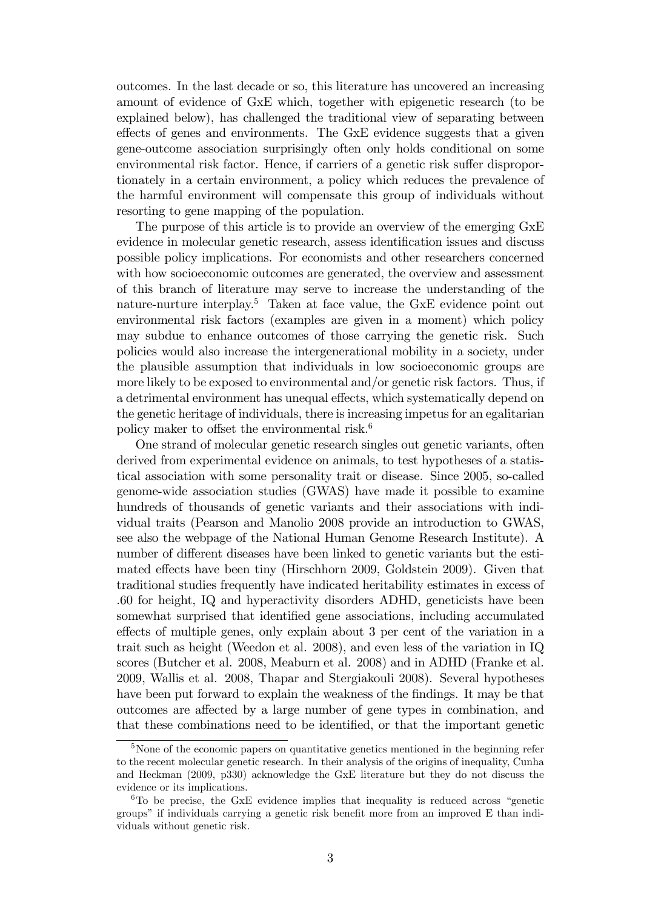outcomes. In the last decade or so, this literature has uncovered an increasing amount of evidence of GxE which, together with epigenetic research (to be explained below), has challenged the traditional view of separating between effects of genes and environments. The GxE evidence suggests that a given gene-outcome association surprisingly often only holds conditional on some environmental risk factor. Hence, if carriers of a genetic risk suffer disproportionately in a certain environment, a policy which reduces the prevalence of the harmful environment will compensate this group of individuals without resorting to gene mapping of the population.

The purpose of this article is to provide an overview of the emerging GxE evidence in molecular genetic research, assess identification issues and discuss possible policy implications. For economists and other researchers concerned with how socioeconomic outcomes are generated, the overview and assessment of this branch of literature may serve to increase the understanding of the nature-nurture interplay.<sup>5</sup> Taken at face value, the GxE evidence point out environmental risk factors (examples are given in a moment) which policy may subdue to enhance outcomes of those carrying the genetic risk. Such policies would also increase the intergenerational mobility in a society, under the plausible assumption that individuals in low socioeconomic groups are more likely to be exposed to environmental and/or genetic risk factors. Thus, if a detrimental environment has unequal effects, which systematically depend on the genetic heritage of individuals, there is increasing impetus for an egalitarian policy maker to offset the environmental risk.<sup>6</sup>

One strand of molecular genetic research singles out genetic variants, often derived from experimental evidence on animals, to test hypotheses of a statistical association with some personality trait or disease. Since 2005, so-called genome-wide association studies (GWAS) have made it possible to examine hundreds of thousands of genetic variants and their associations with individual traits (Pearson and Manolio 2008 provide an introduction to GWAS, see also the webpage of the National Human Genome Research Institute). A number of different diseases have been linked to genetic variants but the estimated effects have been tiny (Hirschhorn 2009, Goldstein 2009). Given that traditional studies frequently have indicated heritability estimates in excess of .60 for height, IQ and hyperactivity disorders ADHD, geneticists have been somewhat surprised that identified gene associations, including accumulated effects of multiple genes, only explain about 3 per cent of the variation in a trait such as height (Weedon et al. 2008), and even less of the variation in IQ scores (Butcher et al. 2008, Meaburn et al. 2008) and in ADHD (Franke et al. 2009, Wallis et al. 2008, Thapar and Stergiakouli 2008). Several hypotheses have been put forward to explain the weakness of the findings. It may be that outcomes are affected by a large number of gene types in combination, and that these combinations need to be identified, or that the important genetic

<sup>&</sup>lt;sup>5</sup>None of the economic papers on quantitative genetics mentioned in the beginning refer to the recent molecular genetic research. In their analysis of the origins of inequality, Cunha and Heckman (2009, p330) acknowledge the GxE literature but they do not discuss the evidence or its implications.

 ${}^{6}$ To be precise, the GxE evidence implies that inequality is reduced across "genetic groups" if individuals carrying a genetic risk benefit more from an improved E than individuals without genetic risk.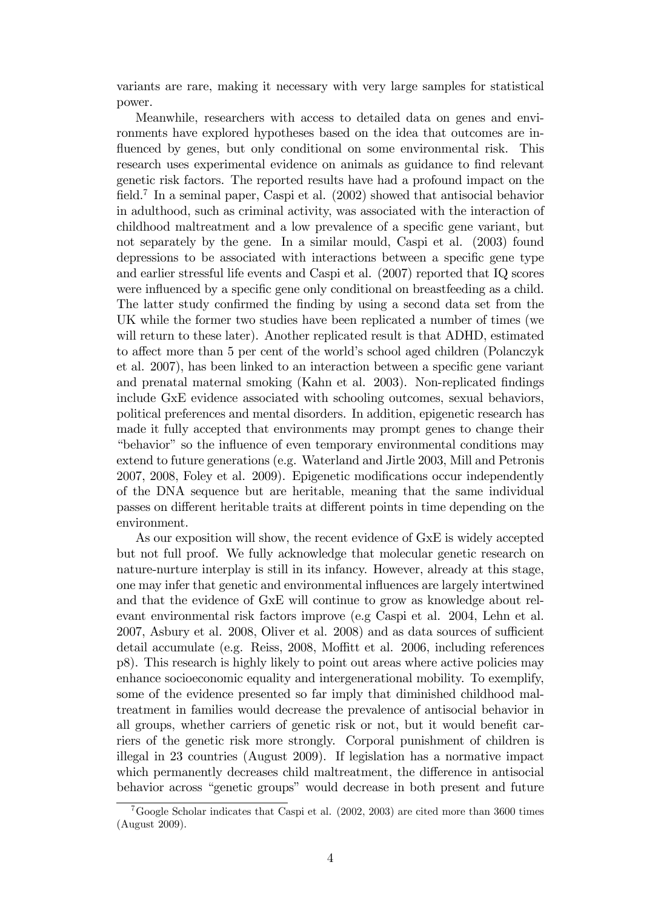variants are rare, making it necessary with very large samples for statistical power.

Meanwhile, researchers with access to detailed data on genes and environments have explored hypotheses based on the idea that outcomes are influenced by genes, but only conditional on some environmental risk. This research uses experimental evidence on animals as guidance to find relevant genetic risk factors. The reported results have had a profound impact on the field.<sup>7</sup> In a seminal paper, Caspi et al.  $(2002)$  showed that antisocial behavior in adulthood, such as criminal activity, was associated with the interaction of childhood maltreatment and a low prevalence of a specific gene variant, but not separately by the gene. In a similar mould, Caspi et al. (2003) found depressions to be associated with interactions between a specific gene type and earlier stressful life events and Caspi et al. (2007) reported that IQ scores were influenced by a specific gene only conditional on breastfeeding as a child. The latter study confirmed the finding by using a second data set from the UK while the former two studies have been replicated a number of times (we will return to these later). Another replicated result is that ADHD, estimated to affect more than 5 per cent of the world's school aged children (Polanczyk et al. 2007), has been linked to an interaction between a specific gene variant and prenatal maternal smoking (Kahn et al. 2003). Non-replicated findings include GxE evidence associated with schooling outcomes, sexual behaviors, political preferences and mental disorders. In addition, epigenetic research has made it fully accepted that environments may prompt genes to change their ìbehaviorî so the ináuence of even temporary environmental conditions may extend to future generations (e.g. Waterland and Jirtle 2003, Mill and Petronis 2007, 2008, Foley et al. 2009). Epigenetic modifications occur independently of the DNA sequence but are heritable, meaning that the same individual passes on different heritable traits at different points in time depending on the environment.

As our exposition will show, the recent evidence of GxE is widely accepted but not full proof. We fully acknowledge that molecular genetic research on nature-nurture interplay is still in its infancy. However, already at this stage, one may infer that genetic and environmental influences are largely intertwined and that the evidence of GxE will continue to grow as knowledge about relevant environmental risk factors improve (e.g Caspi et al. 2004, Lehn et al.  $2007$ , Asbury et al.  $2008$ , Oliver et al.  $2008$ ) and as data sources of sufficient detail accumulate (e.g. Reiss,  $2008$ , Moffitt et al. 2006, including references p8). This research is highly likely to point out areas where active policies may enhance socioeconomic equality and intergenerational mobility. To exemplify, some of the evidence presented so far imply that diminished childhood maltreatment in families would decrease the prevalence of antisocial behavior in all groups, whether carriers of genetic risk or not, but it would benefit carriers of the genetic risk more strongly. Corporal punishment of children is illegal in 23 countries (August 2009). If legislation has a normative impact which permanently decreases child maltreatment, the difference in antisocial behavior across "genetic groups" would decrease in both present and future

<sup>&</sup>lt;sup>7</sup>Google Scholar indicates that Caspi et al.  $(2002, 2003)$  are cited more than 3600 times (August 2009).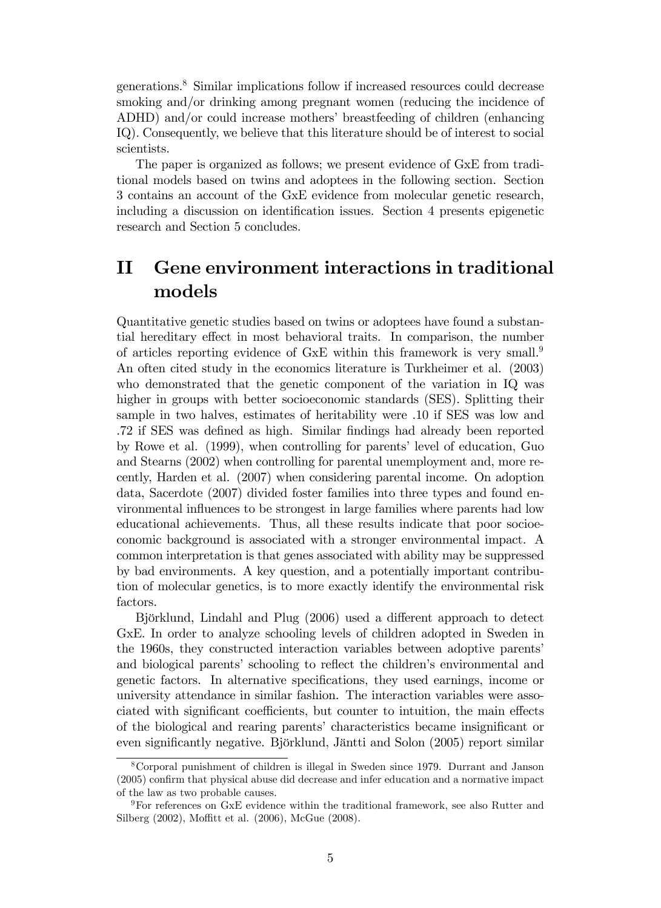generations.<sup>8</sup> Similar implications follow if increased resources could decrease smoking and/or drinking among pregnant women (reducing the incidence of ADHD) and/or could increase mothers' breastfeeding of children (enhancing IQ). Consequently, we believe that this literature should be of interest to social scientists.

The paper is organized as follows; we present evidence of GxE from traditional models based on twins and adoptees in the following section. Section 3 contains an account of the GxE evidence from molecular genetic research, including a discussion on identification issues. Section 4 presents epigenetic research and Section 5 concludes.

## II Gene environment interactions in traditional models

Quantitative genetic studies based on twins or adoptees have found a substantial hereditary effect in most behavioral traits. In comparison, the number of articles reporting evidence of GxE within this framework is very small.<sup>9</sup> An often cited study in the economics literature is Turkheimer et al. (2003) who demonstrated that the genetic component of the variation in IQ was higher in groups with better socioeconomic standards (SES). Splitting their sample in two halves, estimates of heritability were .10 if SES was low and .72 if SES was deÖned as high. Similar Öndings had already been reported by Rowe et al. (1999), when controlling for parents' level of education, Guo and Stearns (2002) when controlling for parental unemployment and, more recently, Harden et al. (2007) when considering parental income. On adoption data, Sacerdote (2007) divided foster families into three types and found environmental influences to be strongest in large families where parents had low educational achievements. Thus, all these results indicate that poor socioeconomic background is associated with a stronger environmental impact. A common interpretation is that genes associated with ability may be suppressed by bad environments. A key question, and a potentially important contribution of molecular genetics, is to more exactly identify the environmental risk factors.

Björklund, Lindahl and Plug (2006) used a different approach to detect GxE. In order to analyze schooling levels of children adopted in Sweden in the 1960s, they constructed interaction variables between adoptive parentsí and biological parents' schooling to reflect the children's environmental and genetic factors. In alternative specifications, they used earnings, income or university attendance in similar fashion. The interaction variables were associated with significant coefficients, but counter to intuition, the main effects of the biological and rearing parents' characteristics became insignificant or even significantly negative. Björklund, Jäntti and Solon (2005) report similar

<sup>8</sup>Corporal punishment of children is illegal in Sweden since 1979. Durrant and Janson  $(2005)$  confirm that physical abuse did decrease and infer education and a normative impact of the law as two probable causes.

<sup>9</sup>For references on GxE evidence within the traditional framework, see also Rutter and Silberg (2002), Moffitt et al. (2006), McGue (2008).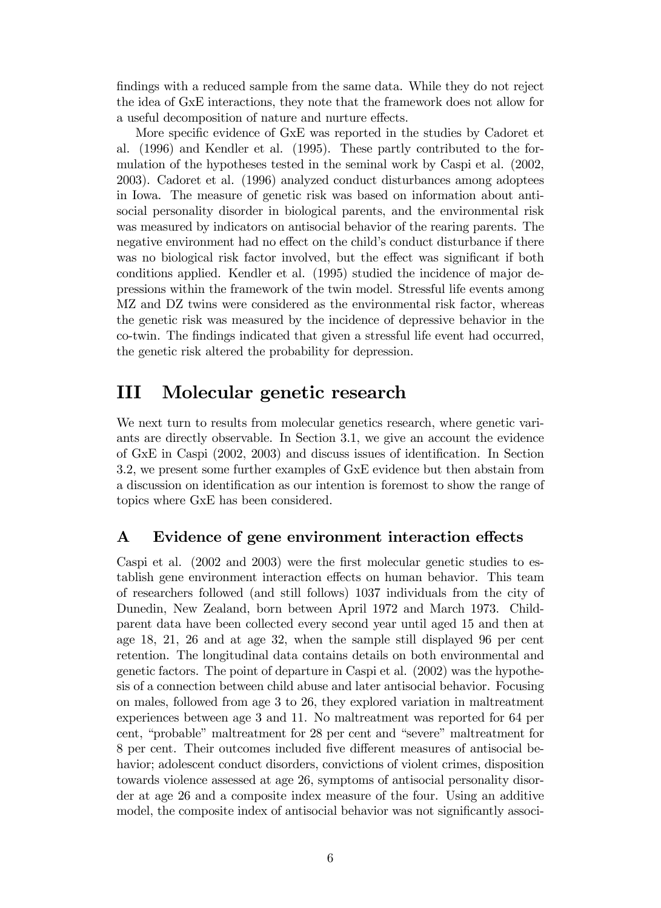findings with a reduced sample from the same data. While they do not reject the idea of GxE interactions, they note that the framework does not allow for a useful decomposition of nature and nurture effects.

More specific evidence of GxE was reported in the studies by Cadoret et al. (1996) and Kendler et al. (1995). These partly contributed to the formulation of the hypotheses tested in the seminal work by Caspi et al. (2002, 2003). Cadoret et al. (1996) analyzed conduct disturbances among adoptees in Iowa. The measure of genetic risk was based on information about antisocial personality disorder in biological parents, and the environmental risk was measured by indicators on antisocial behavior of the rearing parents. The negative environment had no effect on the child's conduct disturbance if there was no biological risk factor involved, but the effect was significant if both conditions applied. Kendler et al. (1995) studied the incidence of major depressions within the framework of the twin model. Stressful life events among MZ and DZ twins were considered as the environmental risk factor, whereas the genetic risk was measured by the incidence of depressive behavior in the co-twin. The Öndings indicated that given a stressful life event had occurred, the genetic risk altered the probability for depression.

### III Molecular genetic research

We next turn to results from molecular genetics research, where genetic variants are directly observable. In Section 3.1, we give an account the evidence of GxE in Caspi (2002, 2003) and discuss issues of identification. In Section 3.2, we present some further examples of GxE evidence but then abstain from a discussion on identification as our intention is foremost to show the range of topics where GxE has been considered.

#### A Evidence of gene environment interaction effects

Caspi et al. (2002 and 2003) were the first molecular genetic studies to establish gene environment interaction effects on human behavior. This team of researchers followed (and still follows) 1037 individuals from the city of Dunedin, New Zealand, born between April 1972 and March 1973. Childparent data have been collected every second year until aged 15 and then at age 18, 21, 26 and at age 32, when the sample still displayed 96 per cent retention. The longitudinal data contains details on both environmental and genetic factors. The point of departure in Caspi et al. (2002) was the hypothesis of a connection between child abuse and later antisocial behavior. Focusing on males, followed from age 3 to 26, they explored variation in maltreatment experiences between age 3 and 11. No maltreatment was reported for 64 per cent, "probable" maltreatment for 28 per cent and "severe" maltreatment for 8 per cent. Their outcomes included five different measures of antisocial behavior; adolescent conduct disorders, convictions of violent crimes, disposition towards violence assessed at age 26, symptoms of antisocial personality disorder at age 26 and a composite index measure of the four. Using an additive model, the composite index of antisocial behavior was not significantly associ--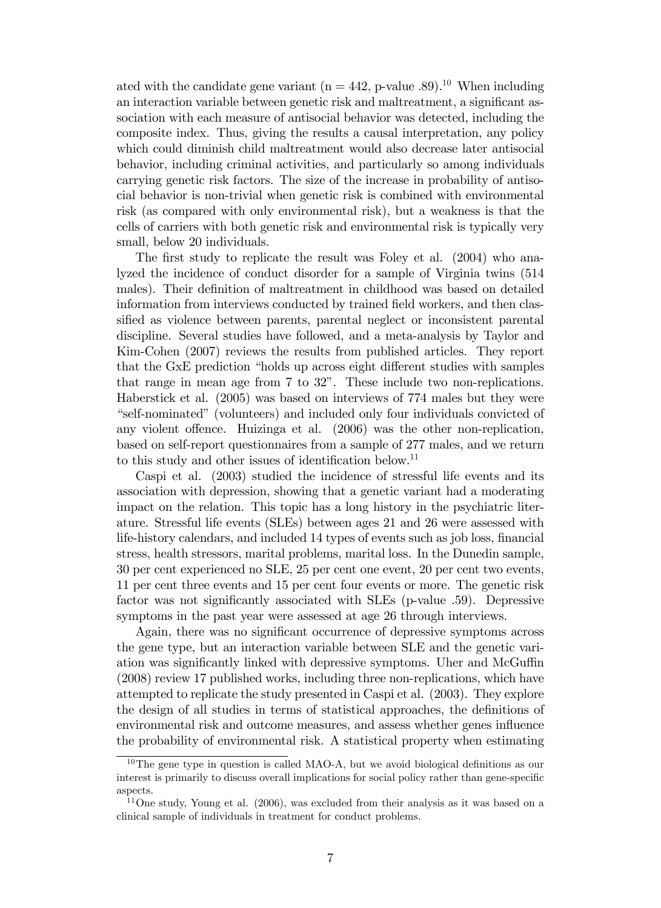ated with the candidate gene variant ( $n = 442$ , p-value .89).<sup>10</sup> When including an interaction variable between genetic risk and maltreatment, a significant association with each measure of antisocial behavior was detected, including the composite index. Thus, giving the results a causal interpretation, any policy which could diminish child maltreatment would also decrease later antisocial behavior, including criminal activities, and particularly so among individuals carrying genetic risk factors. The size of the increase in probability of antisocial behavior is non-trivial when genetic risk is combined with environmental risk (as compared with only environmental risk), but a weakness is that the cells of carriers with both genetic risk and environmental risk is typically very small, below 20 individuals.

The first study to replicate the result was Foley et al. (2004) who analyzed the incidence of conduct disorder for a sample of Virginia twins (514 males). Their definition of maltreatment in childhood was based on detailed information from interviews conducted by trained field workers, and then classified as violence between parents, parental neglect or inconsistent parental discipline. Several studies have followed, and a meta-analysis by Taylor and Kim-Cohen (2007) reviews the results from published articles. They report that the GxE prediction "holds up across eight different studies with samples that range in mean age from  $7$  to  $32$ ". These include two non-replications. Haberstick et al. (2005) was based on interviews of 774 males but they were ìself-nominatedî (volunteers) and included only four individuals convicted of any violent offence. Huizinga et al. (2006) was the other non-replication, based on self-report questionnaires from a sample of 277 males, and we return to this study and other issues of identification below.<sup>11</sup>

Caspi et al. (2003) studied the incidence of stressful life events and its association with depression, showing that a genetic variant had a moderating impact on the relation. This topic has a long history in the psychiatric literature. Stressful life events (SLEs) between ages 21 and 26 were assessed with life-history calendars, and included 14 types of events such as job loss, financial stress, health stressors, marital problems, marital loss. In the Dunedin sample, 30 per cent experienced no SLE, 25 per cent one event, 20 per cent two events, 11 per cent three events and 15 per cent four events or more. The genetic risk factor was not significantly associated with SLEs (p-value .59). Depressive symptoms in the past year were assessed at age 26 through interviews.

Again, there was no significant occurrence of depressive symptoms across the gene type, but an interaction variable between SLE and the genetic variation was significantly linked with depressive symptoms. Uher and McGuffin (2008) review 17 published works, including three non-replications, which have attempted to replicate the study presented in Caspi et al. (2003). They explore the design of all studies in terms of statistical approaches, the definitions of environmental risk and outcome measures, and assess whether genes influence the probability of environmental risk. A statistical property when estimating

 $10$ The gene type in question is called MAO-A, but we avoid biological definitions as our interest is primarily to discuss overall implications for social policy rather than gene-specific aspects.

 $11$ One study, Young et al. (2006), was excluded from their analysis as it was based on a clinical sample of individuals in treatment for conduct problems.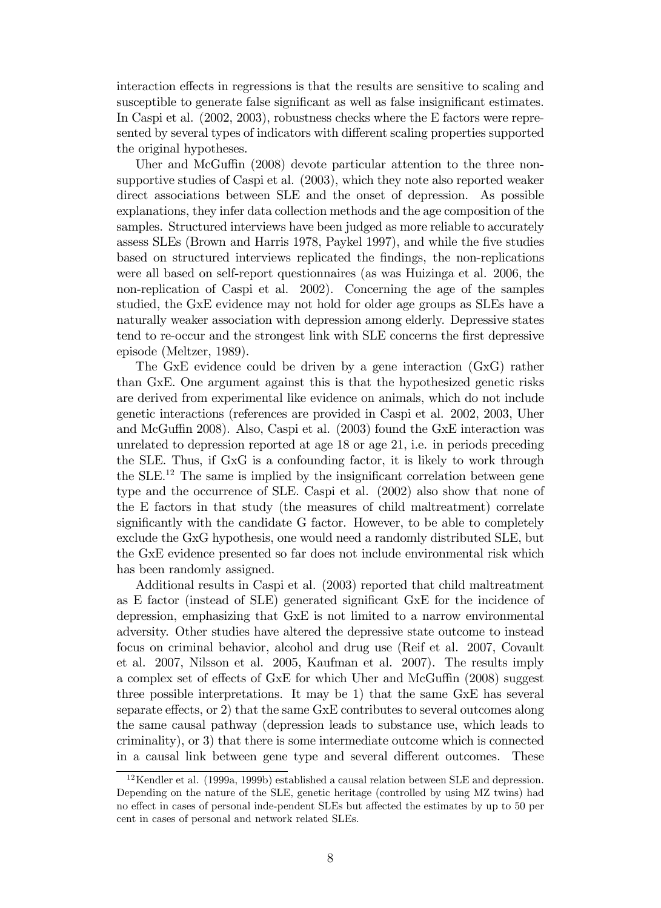interaction effects in regressions is that the results are sensitive to scaling and susceptible to generate false significant as well as false insignificant estimates. In Caspi et al. (2002, 2003), robustness checks where the E factors were represented by several types of indicators with different scaling properties supported the original hypotheses.

Uher and McGuffin  $(2008)$  devote particular attention to the three nonsupportive studies of Caspi et al. (2003), which they note also reported weaker direct associations between SLE and the onset of depression. As possible explanations, they infer data collection methods and the age composition of the samples. Structured interviews have been judged as more reliable to accurately assess SLEs (Brown and Harris 1978, Paykel 1997), and while the Öve studies based on structured interviews replicated the Öndings, the non-replications were all based on self-report questionnaires (as was Huizinga et al. 2006, the non-replication of Caspi et al. 2002). Concerning the age of the samples studied, the GxE evidence may not hold for older age groups as SLEs have a naturally weaker association with depression among elderly. Depressive states tend to re-occur and the strongest link with SLE concerns the first depressive episode (Meltzer, 1989).

The GxE evidence could be driven by a gene interaction (GxG) rather than GxE. One argument against this is that the hypothesized genetic risks are derived from experimental like evidence on animals, which do not include genetic interactions (references are provided in Caspi et al. 2002, 2003, Uher and McGuffin 2008). Also, Caspi et al.  $(2003)$  found the GxE interaction was unrelated to depression reported at age 18 or age 21, i.e. in periods preceding the SLE. Thus, if GxG is a confounding factor, it is likely to work through the  $SLE<sup>12</sup>$ . The same is implied by the insignificant correlation between gene type and the occurrence of SLE. Caspi et al. (2002) also show that none of the E factors in that study (the measures of child maltreatment) correlate significantly with the candidate G factor. However, to be able to completely exclude the GxG hypothesis, one would need a randomly distributed SLE, but the GxE evidence presented so far does not include environmental risk which has been randomly assigned.

Additional results in Caspi et al. (2003) reported that child maltreatment as  $E$  factor (instead of SLE) generated significant  $GxE$  for the incidence of depression, emphasizing that GxE is not limited to a narrow environmental adversity. Other studies have altered the depressive state outcome to instead focus on criminal behavior, alcohol and drug use (Reif et al. 2007, Covault et al. 2007, Nilsson et al. 2005, Kaufman et al. 2007). The results imply a complex set of effects of GxE for which Uher and McGuffin (2008) suggest three possible interpretations. It may be 1) that the same GxE has several separate effects, or 2) that the same GxE contributes to several outcomes along the same causal pathway (depression leads to substance use, which leads to criminality), or 3) that there is some intermediate outcome which is connected in a causal link between gene type and several different outcomes. These

 $12$ Kendler et al. (1999a, 1999b) established a causal relation between SLE and depression. Depending on the nature of the SLE, genetic heritage (controlled by using MZ twins) had no effect in cases of personal inde-pendent SLEs but affected the estimates by up to 50 per cent in cases of personal and network related SLEs.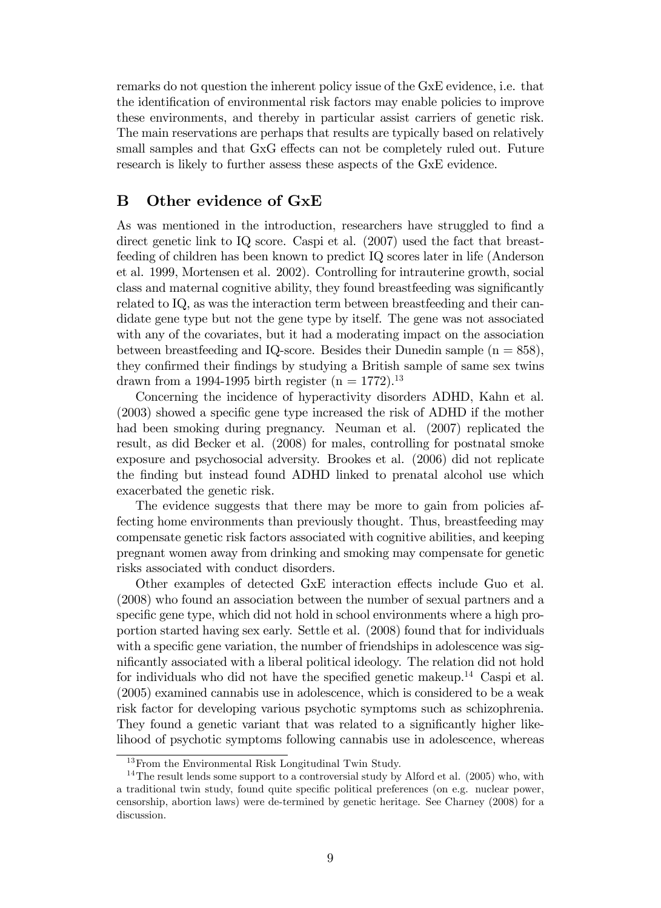remarks do not question the inherent policy issue of the GxE evidence, i.e. that the identification of environmental risk factors may enable policies to improve these environments, and thereby in particular assist carriers of genetic risk. The main reservations are perhaps that results are typically based on relatively small samples and that GxG effects can not be completely ruled out. Future research is likely to further assess these aspects of the GxE evidence.

#### B Other evidence of GxE

As was mentioned in the introduction, researchers have struggled to find a direct genetic link to IQ score. Caspi et al.  $(2007)$  used the fact that breastfeeding of children has been known to predict IQ scores later in life (Anderson et al. 1999, Mortensen et al. 2002). Controlling for intrauterine growth, social class and maternal cognitive ability, they found breastfeeding was significantly related to IQ, as was the interaction term between breastfeeding and their candidate gene type but not the gene type by itself. The gene was not associated with any of the covariates, but it had a moderating impact on the association between breastfeeding and IQ-score. Besides their Dunedin sample  $(n = 858)$ , they confirmed their findings by studying a British sample of same sex twins drawn from a 1994-1995 birth register  $(n = 1772)^{13}$ 

Concerning the incidence of hyperactivity disorders ADHD, Kahn et al.  $(2003)$  showed a specific gene type increased the risk of ADHD if the mother had been smoking during pregnancy. Neuman et al. (2007) replicated the result, as did Becker et al. (2008) for males, controlling for postnatal smoke exposure and psychosocial adversity. Brookes et al. (2006) did not replicate the finding but instead found ADHD linked to prenatal alcohol use which exacerbated the genetic risk.

The evidence suggests that there may be more to gain from policies affecting home environments than previously thought. Thus, breastfeeding may compensate genetic risk factors associated with cognitive abilities, and keeping pregnant women away from drinking and smoking may compensate for genetic risks associated with conduct disorders.

Other examples of detected GxE interaction effects include Guo et al. (2008) who found an association between the number of sexual partners and a specific gene type, which did not hold in school environments where a high proportion started having sex early. Settle et al. (2008) found that for individuals with a specific gene variation, the number of friendships in adolescence was significantly associated with a liberal political ideology. The relation did not hold for individuals who did not have the specified genetic makeup.<sup>14</sup> Caspi et al. (2005) examined cannabis use in adolescence, which is considered to be a weak risk factor for developing various psychotic symptoms such as schizophrenia. They found a genetic variant that was related to a significantly higher likelihood of psychotic symptoms following cannabis use in adolescence, whereas

<sup>13</sup>From the Environmental Risk Longitudinal Twin Study.

 $14$ The result lends some support to a controversial study by Alford et al. (2005) who, with a traditional twin study, found quite specific political preferences (on e.g. nuclear power, censorship, abortion laws) were de-termined by genetic heritage. See Charney (2008) for a discussion.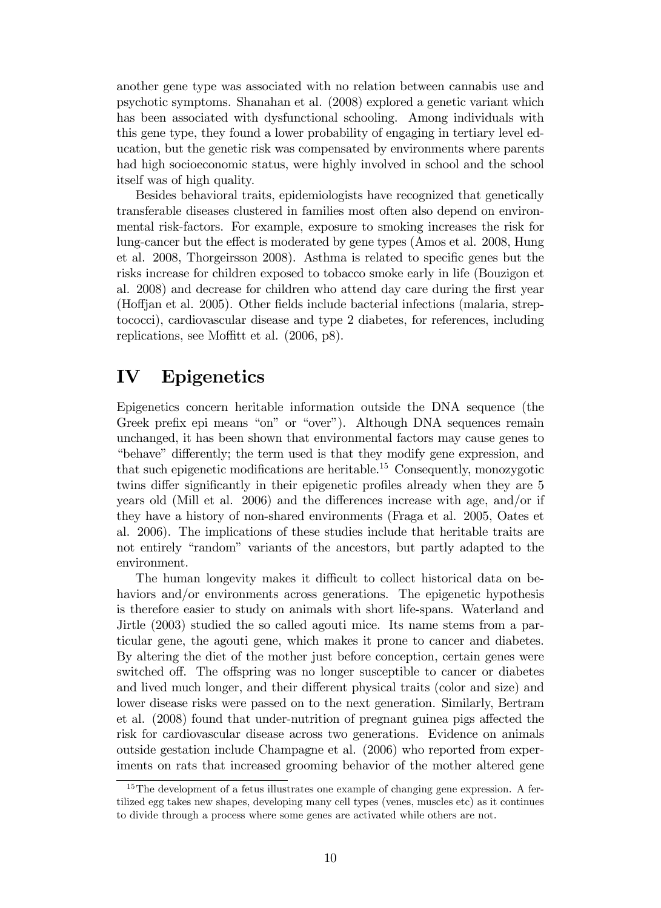another gene type was associated with no relation between cannabis use and psychotic symptoms. Shanahan et al. (2008) explored a genetic variant which has been associated with dysfunctional schooling. Among individuals with this gene type, they found a lower probability of engaging in tertiary level education, but the genetic risk was compensated by environments where parents had high socioeconomic status, were highly involved in school and the school itself was of high quality.

Besides behavioral traits, epidemiologists have recognized that genetically transferable diseases clustered in families most often also depend on environmental risk-factors. For example, exposure to smoking increases the risk for lung-cancer but the effect is moderated by gene types (Amos et al. 2008, Hung et al. 2008, Thorgeirsson 2008). Asthma is related to specific genes but the risks increase for children exposed to tobacco smoke early in life (Bouzigon et al. 2008) and decrease for children who attend day care during the Örst year (Hoffian et al. 2005). Other fields include bacterial infections (malaria, streptococci), cardiovascular disease and type 2 diabetes, for references, including replications, see Moffitt et al.  $(2006, p8)$ .

## IV Epigenetics

Epigenetics concern heritable information outside the DNA sequence (the Greek prefix epi means "on" or "over"). Although DNA sequences remain unchanged, it has been shown that environmental factors may cause genes to "behave" differently; the term used is that they modify gene expression, and that such epigenetic modifications are heritable.<sup>15</sup> Consequently, monozygotic twins differ significantly in their epigenetic profiles already when they are 5 years old (Mill et al. 2006) and the differences increase with age, and/or if they have a history of non-shared environments (Fraga et al. 2005, Oates et al. 2006). The implications of these studies include that heritable traits are not entirely "random" variants of the ancestors, but partly adapted to the environment.

The human longevity makes it difficult to collect historical data on behaviors and/or environments across generations. The epigenetic hypothesis is therefore easier to study on animals with short life-spans. Waterland and Jirtle (2003) studied the so called agouti mice. Its name stems from a particular gene, the agouti gene, which makes it prone to cancer and diabetes. By altering the diet of the mother just before conception, certain genes were switched off. The offspring was no longer susceptible to cancer or diabetes and lived much longer, and their different physical traits (color and size) and lower disease risks were passed on to the next generation. Similarly, Bertram et al.  $(2008)$  found that under-nutrition of pregnant guinea pigs affected the risk for cardiovascular disease across two generations. Evidence on animals outside gestation include Champagne et al. (2006) who reported from experiments on rats that increased grooming behavior of the mother altered gene

 $15$ The development of a fetus illustrates one example of changing gene expression. A fertilized egg takes new shapes, developing many cell types (venes, muscles etc) as it continues to divide through a process where some genes are activated while others are not.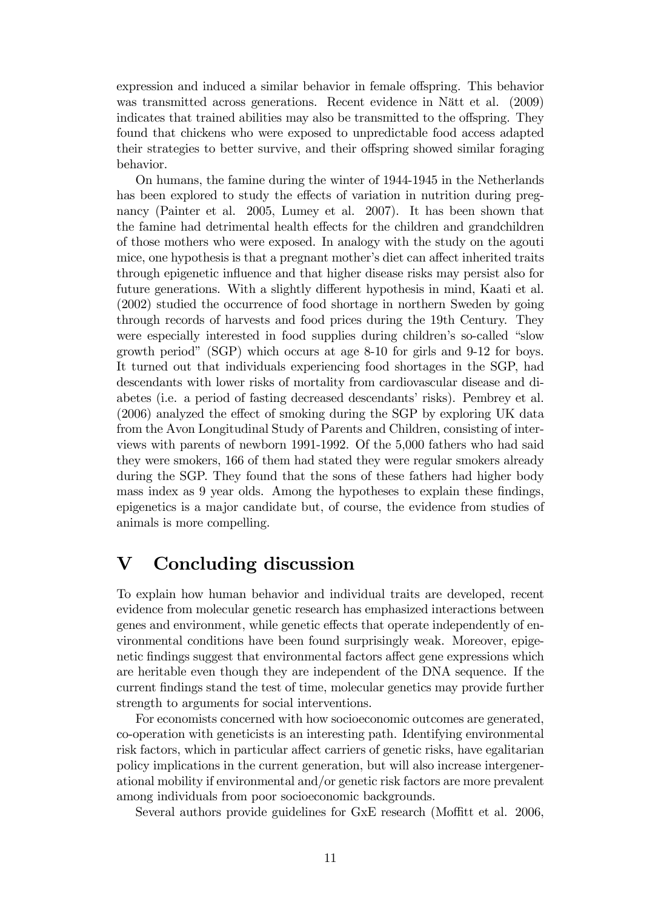expression and induced a similar behavior in female offspring. This behavior was transmitted across generations. Recent evidence in Nätt et al. (2009) indicates that trained abilities may also be transmitted to the offspring. They found that chickens who were exposed to unpredictable food access adapted their strategies to better survive, and their offspring showed similar foraging behavior.

On humans, the famine during the winter of 1944-1945 in the Netherlands has been explored to study the effects of variation in nutrition during pregnancy (Painter et al. 2005, Lumey et al. 2007). It has been shown that the famine had detrimental health effects for the children and grandchildren of those mothers who were exposed. In analogy with the study on the agouti mice, one hypothesis is that a pregnant mother's diet can affect inherited traits through epigenetic influence and that higher disease risks may persist also for future generations. With a slightly different hypothesis in mind, Kaati et al. (2002) studied the occurrence of food shortage in northern Sweden by going through records of harvests and food prices during the 19th Century. They were especially interested in food supplies during children's so-called "slow growth period" (SGP) which occurs at age 8-10 for girls and 9-12 for boys. It turned out that individuals experiencing food shortages in the SGP, had descendants with lower risks of mortality from cardiovascular disease and diabetes (i.e. a period of fasting decreased descendants' risks). Pembrey et al.  $(2006)$  analyzed the effect of smoking during the SGP by exploring UK data from the Avon Longitudinal Study of Parents and Children, consisting of interviews with parents of newborn 1991-1992. Of the 5,000 fathers who had said they were smokers, 166 of them had stated they were regular smokers already during the SGP. They found that the sons of these fathers had higher body mass index as 9 year olds. Among the hypotheses to explain these findings, epigenetics is a major candidate but, of course, the evidence from studies of animals is more compelling.

## V Concluding discussion

To explain how human behavior and individual traits are developed, recent evidence from molecular genetic research has emphasized interactions between genes and environment, while genetic effects that operate independently of environmental conditions have been found surprisingly weak. Moreover, epigenetic findings suggest that environmental factors affect gene expressions which are heritable even though they are independent of the DNA sequence. If the current Öndings stand the test of time, molecular genetics may provide further strength to arguments for social interventions.

For economists concerned with how socioeconomic outcomes are generated, co-operation with geneticists is an interesting path. Identifying environmental risk factors, which in particular affect carriers of genetic risks, have egalitarian policy implications in the current generation, but will also increase intergenerational mobility if environmental and/or genetic risk factors are more prevalent among individuals from poor socioeconomic backgrounds.

Several authors provide guidelines for GxE research (Moffitt et al. 2006,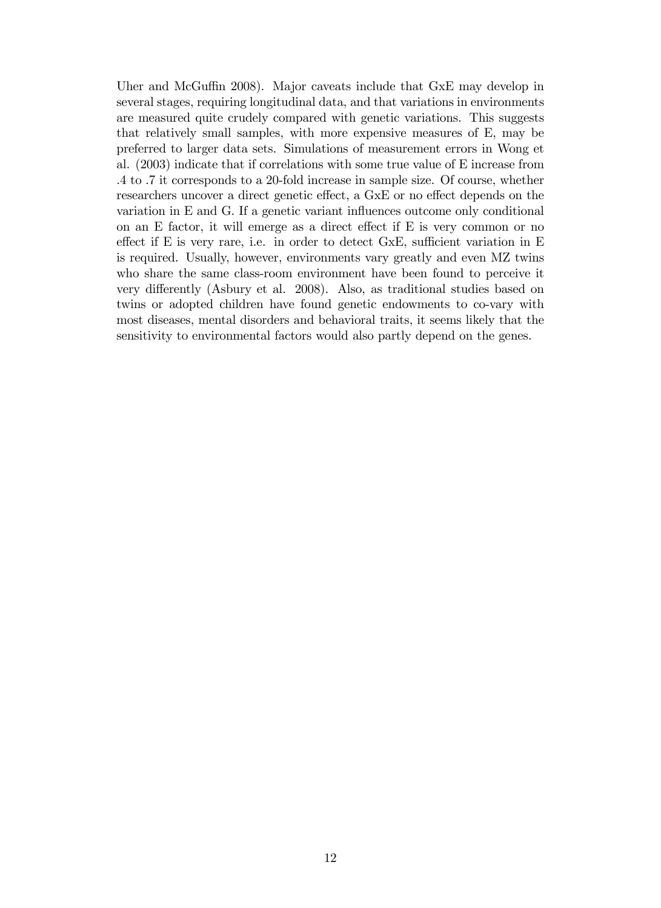Uher and McGuffin 2008). Major caveats include that  $GxE$  may develop in several stages, requiring longitudinal data, and that variations in environments are measured quite crudely compared with genetic variations. This suggests that relatively small samples, with more expensive measures of E, may be preferred to larger data sets. Simulations of measurement errors in Wong et al. (2003) indicate that if correlations with some true value of E increase from .4 to .7 it corresponds to a 20-fold increase in sample size. Of course, whether researchers uncover a direct genetic effect, a GxE or no effect depends on the variation in  $E$  and  $G$ . If a genetic variant influences outcome only conditional on an  $E$  factor, it will emerge as a direct effect if  $E$  is very common or no effect if E is very rare, i.e. in order to detect  $GxE$ , sufficient variation in E is required. Usually, however, environments vary greatly and even MZ twins who share the same class-room environment have been found to perceive it very differently (Asbury et al. 2008). Also, as traditional studies based on twins or adopted children have found genetic endowments to co-vary with most diseases, mental disorders and behavioral traits, it seems likely that the sensitivity to environmental factors would also partly depend on the genes.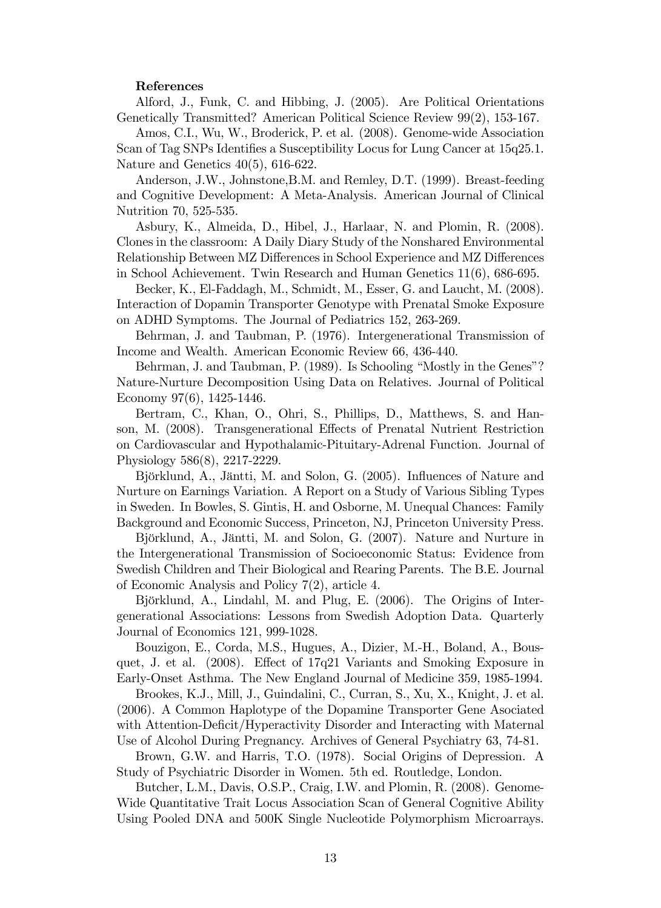#### References

Alford, J., Funk, C. and Hibbing, J. (2005). Are Political Orientations Genetically Transmitted? American Political Science Review 99(2), 153-167.

Amos, C.I., Wu, W., Broderick, P. et al. (2008). Genome-wide Association Scan of Tag SNPs Identifies a Susceptibility Locus for Lung Cancer at 15q25.1. Nature and Genetics 40(5), 616-622.

Anderson, J.W., Johnstone,B.M. and Remley, D.T. (1999). Breast-feeding and Cognitive Development: A Meta-Analysis. American Journal of Clinical Nutrition 70, 525-535.

Asbury, K., Almeida, D., Hibel, J., Harlaar, N. and Plomin, R. (2008). Clones in the classroom: A Daily Diary Study of the Nonshared Environmental Relationship Between MZ Differences in School Experience and MZ Differences in School Achievement. Twin Research and Human Genetics 11(6), 686-695.

Becker, K., El-Faddagh, M., Schmidt, M., Esser, G. and Laucht, M. (2008). Interaction of Dopamin Transporter Genotype with Prenatal Smoke Exposure on ADHD Symptoms. The Journal of Pediatrics 152, 263-269.

Behrman, J. and Taubman, P. (1976). Intergenerational Transmission of Income and Wealth. American Economic Review 66, 436-440.

Behrman, J. and Taubman, P. (1989). Is Schooling "Mostly in the Genes"? Nature-Nurture Decomposition Using Data on Relatives. Journal of Political Economy 97(6), 1425-1446.

Bertram, C., Khan, O., Ohri, S., Phillips, D., Matthews, S. and Hanson, M. (2008). Transgenerational Effects of Prenatal Nutrient Restriction on Cardiovascular and Hypothalamic-Pituitary-Adrenal Function. Journal of Physiology 586(8), 2217-2229.

Björklund, A., Jäntti, M. and Solon, G. (2005). Influences of Nature and Nurture on Earnings Variation. A Report on a Study of Various Sibling Types in Sweden. In Bowles, S. Gintis, H. and Osborne, M. Unequal Chances: Family Background and Economic Success, Princeton, NJ, Princeton University Press.

Björklund, A., Jäntti, M. and Solon, G. (2007). Nature and Nurture in the Intergenerational Transmission of Socioeconomic Status: Evidence from Swedish Children and Their Biological and Rearing Parents. The B.E. Journal of Economic Analysis and Policy 7(2), article 4.

Björklund, A., Lindahl, M. and Plug, E. (2006). The Origins of Intergenerational Associations: Lessons from Swedish Adoption Data. Quarterly Journal of Economics 121, 999-1028.

Bouzigon, E., Corda, M.S., Hugues, A., Dizier, M.-H., Boland, A., Bousquet, J. et al.  $(2008)$ . Effect of 17q21 Variants and Smoking Exposure in Early-Onset Asthma. The New England Journal of Medicine 359, 1985-1994.

Brookes, K.J., Mill, J., Guindalini, C., Curran, S., Xu, X., Knight, J. et al. (2006). A Common Haplotype of the Dopamine Transporter Gene Asociated with Attention-Deficit/Hyperactivity Disorder and Interacting with Maternal Use of Alcohol During Pregnancy. Archives of General Psychiatry 63, 74-81.

Brown, G.W. and Harris, T.O. (1978). Social Origins of Depression. A Study of Psychiatric Disorder in Women. 5th ed. Routledge, London.

Butcher, L.M., Davis, O.S.P., Craig, I.W. and Plomin, R. (2008). Genome-Wide Quantitative Trait Locus Association Scan of General Cognitive Ability Using Pooled DNA and 500K Single Nucleotide Polymorphism Microarrays.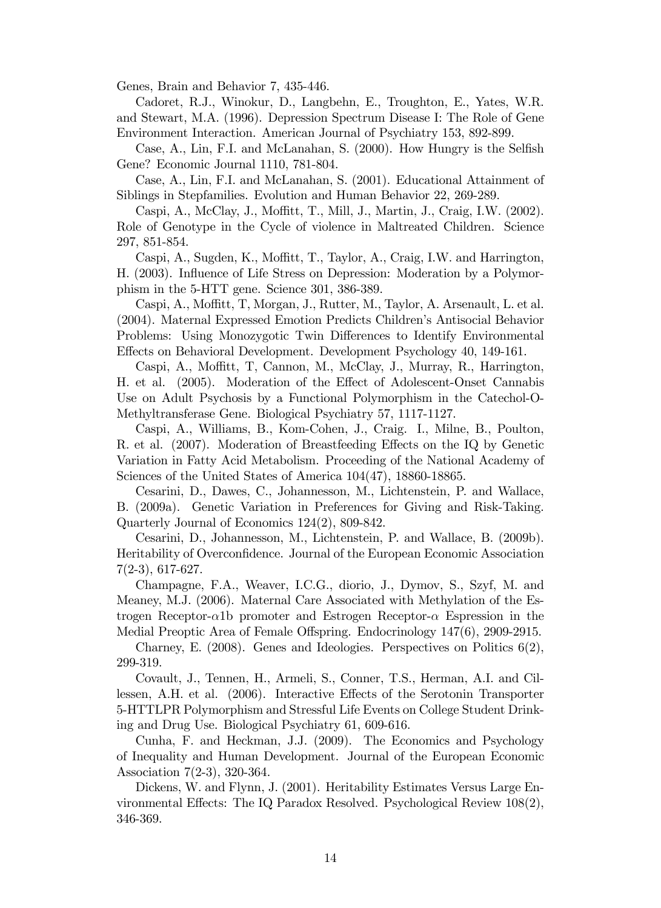Genes, Brain and Behavior 7, 435-446.

Cadoret, R.J., Winokur, D., Langbehn, E., Troughton, E., Yates, W.R. and Stewart, M.A. (1996). Depression Spectrum Disease I: The Role of Gene Environment Interaction. American Journal of Psychiatry 153, 892-899.

Case, A., Lin, F.I. and McLanahan, S. (2000). How Hungry is the Selfish Gene? Economic Journal 1110, 781-804.

Case, A., Lin, F.I. and McLanahan, S. (2001). Educational Attainment of Siblings in Stepfamilies. Evolution and Human Behavior 22, 269-289.

Caspi, A., McClay, J., Moffitt, T., Mill, J., Martin, J., Craig, I.W. (2002). Role of Genotype in the Cycle of violence in Maltreated Children. Science 297, 851-854.

Caspi, A., Sugden, K., Moffitt, T., Taylor, A., Craig, I.W. and Harrington, H. (2003). Ináuence of Life Stress on Depression: Moderation by a Polymorphism in the 5-HTT gene. Science 301, 386-389.

Caspi, A., Moffitt, T., Morgan, J., Rutter, M., Taylor, A. Arsenault, L. et al. (2004). Maternal Expressed Emotion Predicts Childrenís Antisocial Behavior Problems: Using Monozygotic Twin Differences to Identify Environmental Effects on Behavioral Development. Development Psychology 40, 149-161.

Caspi, A., Moffitt, T., Cannon, M., McClay, J., Murray, R., Harrington, H. et al. (2005). Moderation of the Effect of Adolescent-Onset Cannabis Use on Adult Psychosis by a Functional Polymorphism in the Catechol-O-Methyltransferase Gene. Biological Psychiatry 57, 1117-1127.

Caspi, A., Williams, B., Kom-Cohen, J., Craig. I., Milne, B., Poulton, R. et al.  $(2007)$ . Moderation of Breastfeeding Effects on the IQ by Genetic Variation in Fatty Acid Metabolism. Proceeding of the National Academy of Sciences of the United States of America 104(47), 18860-18865.

Cesarini, D., Dawes, C., Johannesson, M., Lichtenstein, P. and Wallace, B. (2009a). Genetic Variation in Preferences for Giving and Risk-Taking. Quarterly Journal of Economics 124(2), 809-842.

Cesarini, D., Johannesson, M., Lichtenstein, P. and Wallace, B. (2009b). Heritability of Overconfidence. Journal of the European Economic Association 7(2-3), 617-627.

Champagne, F.A., Weaver, I.C.G., diorio, J., Dymov, S., Szyf, M. and Meaney, M.J. (2006). Maternal Care Associated with Methylation of the Estrogen Receptor- $\alpha$ 1b promoter and Estrogen Receptor- $\alpha$  Espression in the Medial Preoptic Area of Female Offspring. Endocrinology 147(6), 2909-2915.

Charney, E. (2008). Genes and Ideologies. Perspectives on Politics  $6(2)$ , 299-319.

Covault, J., Tennen, H., Armeli, S., Conner, T.S., Herman, A.I. and Cillessen, A.H. et al. (2006). Interactive Effects of the Serotonin Transporter 5-HTTLPR Polymorphism and Stressful Life Events on College Student Drinking and Drug Use. Biological Psychiatry 61, 609-616.

Cunha, F. and Heckman, J.J. (2009). The Economics and Psychology of Inequality and Human Development. Journal of the European Economic Association 7(2-3), 320-364.

Dickens, W. and Flynn, J. (2001). Heritability Estimates Versus Large Environmental Effects: The IQ Paradox Resolved. Psychological Review  $108(2)$ , 346-369.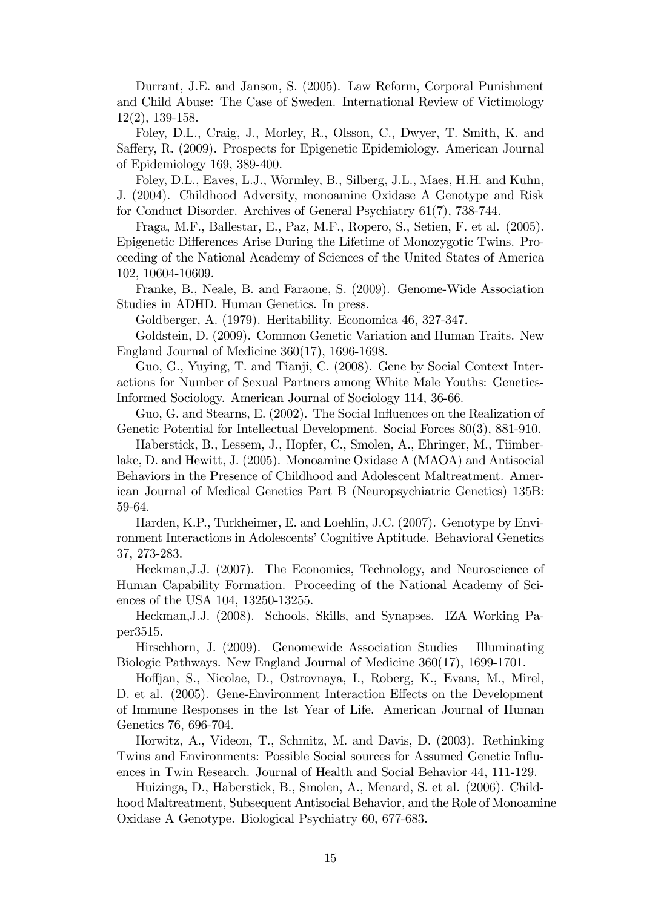Durrant, J.E. and Janson, S. (2005). Law Reform, Corporal Punishment and Child Abuse: The Case of Sweden. International Review of Victimology 12(2), 139-158.

Foley, D.L., Craig, J., Morley, R., Olsson, C., Dwyer, T. Smith, K. and Saffery, R. (2009). Prospects for Epigenetic Epidemiology. American Journal of Epidemiology 169, 389-400.

Foley, D.L., Eaves, L.J., Wormley, B., Silberg, J.L., Maes, H.H. and Kuhn, J. (2004). Childhood Adversity, monoamine Oxidase A Genotype and Risk for Conduct Disorder. Archives of General Psychiatry 61(7), 738-744.

Fraga, M.F., Ballestar, E., Paz, M.F., Ropero, S., Setien, F. et al. (2005). Epigenetic Differences Arise During the Lifetime of Monozygotic Twins. Proceeding of the National Academy of Sciences of the United States of America 102, 10604-10609.

Franke, B., Neale, B. and Faraone, S. (2009). Genome-Wide Association Studies in ADHD. Human Genetics. In press.

Goldberger, A. (1979). Heritability. Economica 46, 327-347.

Goldstein, D. (2009). Common Genetic Variation and Human Traits. New England Journal of Medicine 360(17), 1696-1698.

Guo, G., Yuying, T. and Tianji, C. (2008). Gene by Social Context Interactions for Number of Sexual Partners among White Male Youths: Genetics-Informed Sociology. American Journal of Sociology 114, 36-66.

Guo, G. and Stearns, E. (2002). The Social Influences on the Realization of Genetic Potential for Intellectual Development. Social Forces 80(3), 881-910.

Haberstick, B., Lessem, J., Hopfer, C., Smolen, A., Ehringer, M., Tiimberlake, D. and Hewitt, J. (2005). Monoamine Oxidase A (MAOA) and Antisocial Behaviors in the Presence of Childhood and Adolescent Maltreatment. American Journal of Medical Genetics Part B (Neuropsychiatric Genetics) 135B: 59-64.

Harden, K.P., Turkheimer, E. and Loehlin, J.C. (2007). Genotype by Environment Interactions in Adolescents' Cognitive Aptitude. Behavioral Genetics 37, 273-283.

Heckman,J.J. (2007). The Economics, Technology, and Neuroscience of Human Capability Formation. Proceeding of the National Academy of Sciences of the USA 104, 13250-13255.

Heckman,J.J. (2008). Schools, Skills, and Synapses. IZA Working Paper3515.

Hirschhorn, J.  $(2009)$ . Genomewide Association Studies – Illuminating Biologic Pathways. New England Journal of Medicine 360(17), 1699-1701.

Ho§jan, S., Nicolae, D., Ostrovnaya, I., Roberg, K., Evans, M., Mirel, D. et al. (2005). Gene-Environment Interaction Effects on the Development of Immune Responses in the 1st Year of Life. American Journal of Human Genetics 76, 696-704.

Horwitz, A., Videon, T., Schmitz, M. and Davis, D. (2003). Rethinking Twins and Environments: Possible Social sources for Assumed Genetic Ináuences in Twin Research. Journal of Health and Social Behavior 44, 111-129.

Huizinga, D., Haberstick, B., Smolen, A., Menard, S. et al. (2006). Childhood Maltreatment, Subsequent Antisocial Behavior, and the Role of Monoamine Oxidase A Genotype. Biological Psychiatry 60, 677-683.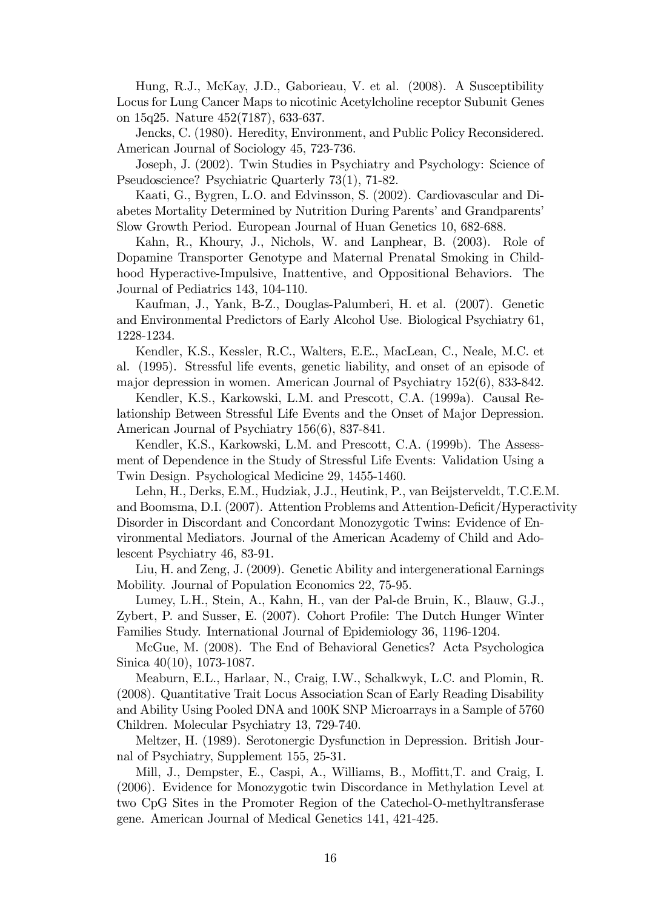Hung, R.J., McKay, J.D., Gaborieau, V. et al. (2008). A Susceptibility Locus for Lung Cancer Maps to nicotinic Acetylcholine receptor Subunit Genes on 15q25. Nature 452(7187), 633-637.

Jencks, C. (1980). Heredity, Environment, and Public Policy Reconsidered. American Journal of Sociology 45, 723-736.

Joseph, J. (2002). Twin Studies in Psychiatry and Psychology: Science of Pseudoscience? Psychiatric Quarterly 73(1), 71-82.

Kaati, G., Bygren, L.O. and Edvinsson, S. (2002). Cardiovascular and Diabetes Mortality Determined by Nutrition During Parents' and Grandparents' Slow Growth Period. European Journal of Huan Genetics 10, 682-688.

Kahn, R., Khoury, J., Nichols, W. and Lanphear, B. (2003). Role of Dopamine Transporter Genotype and Maternal Prenatal Smoking in Childhood Hyperactive-Impulsive, Inattentive, and Oppositional Behaviors. The Journal of Pediatrics 143, 104-110.

Kaufman, J., Yank, B-Z., Douglas-Palumberi, H. et al. (2007). Genetic and Environmental Predictors of Early Alcohol Use. Biological Psychiatry 61, 1228-1234.

Kendler, K.S., Kessler, R.C., Walters, E.E., MacLean, C., Neale, M.C. et al. (1995). Stressful life events, genetic liability, and onset of an episode of major depression in women. American Journal of Psychiatry 152(6), 833-842.

Kendler, K.S., Karkowski, L.M. and Prescott, C.A. (1999a). Causal Relationship Between Stressful Life Events and the Onset of Major Depression. American Journal of Psychiatry 156(6), 837-841.

Kendler, K.S., Karkowski, L.M. and Prescott, C.A. (1999b). The Assessment of Dependence in the Study of Stressful Life Events: Validation Using a Twin Design. Psychological Medicine 29, 1455-1460.

Lehn, H., Derks, E.M., Hudziak, J.J., Heutink, P., van Beijsterveldt, T.C.E.M. and Boomsma, D.I. (2007). Attention Problems and Attention-Deficit/Hyperactivity Disorder in Discordant and Concordant Monozygotic Twins: Evidence of Environmental Mediators. Journal of the American Academy of Child and Adolescent Psychiatry 46, 83-91.

Liu, H. and Zeng, J. (2009). Genetic Ability and intergenerational Earnings Mobility. Journal of Population Economics 22, 75-95.

Lumey, L.H., Stein, A., Kahn, H., van der Pal-de Bruin, K., Blauw, G.J., Zybert, P. and Susser, E. (2007). Cohort Profile: The Dutch Hunger Winter Families Study. International Journal of Epidemiology 36, 1196-1204.

McGue, M. (2008). The End of Behavioral Genetics? Acta Psychologica Sinica 40(10), 1073-1087.

Meaburn, E.L., Harlaar, N., Craig, I.W., Schalkwyk, L.C. and Plomin, R. (2008). Quantitative Trait Locus Association Scan of Early Reading Disability and Ability Using Pooled DNA and 100K SNP Microarrays in a Sample of 5760 Children. Molecular Psychiatry 13, 729-740.

Meltzer, H. (1989). Serotonergic Dysfunction in Depression. British Journal of Psychiatry, Supplement 155, 25-31.

Mill, J., Dempster, E., Caspi, A., Williams, B., Moffitt, T. and Craig, I. (2006). Evidence for Monozygotic twin Discordance in Methylation Level at two CpG Sites in the Promoter Region of the Catechol-O-methyltransferase gene. American Journal of Medical Genetics 141, 421-425.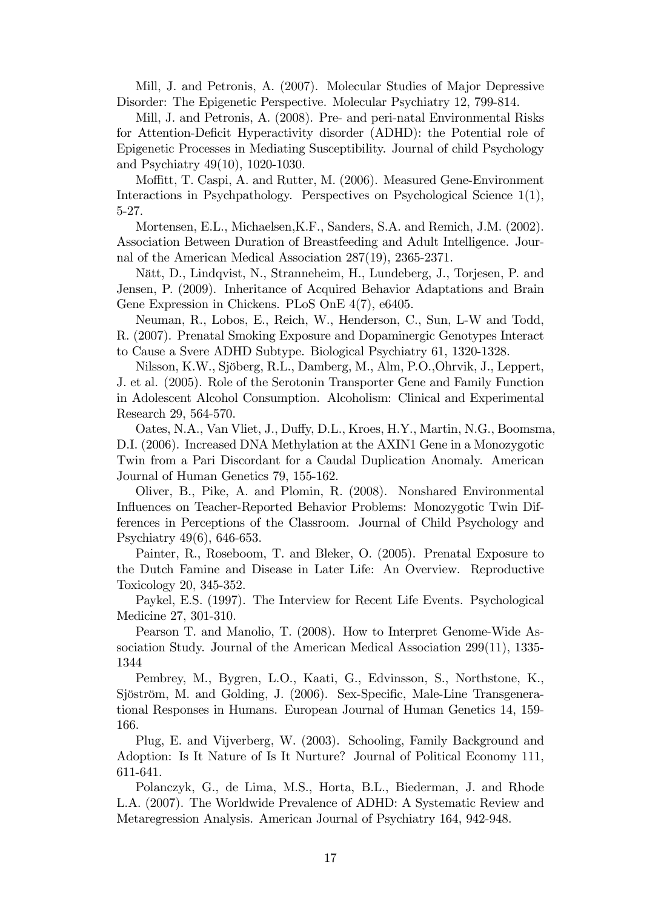Mill, J. and Petronis, A. (2007). Molecular Studies of Major Depressive Disorder: The Epigenetic Perspective. Molecular Psychiatry 12, 799-814.

Mill, J. and Petronis, A. (2008). Pre- and peri-natal Environmental Risks for Attention-Deficit Hyperactivity disorder (ADHD): the Potential role of Epigenetic Processes in Mediating Susceptibility. Journal of child Psychology and Psychiatry 49(10), 1020-1030.

Moffitt, T. Caspi, A. and Rutter, M. (2006). Measured Gene-Environment Interactions in Psychpathology. Perspectives on Psychological Science 1(1), 5-27.

Mortensen, E.L., Michaelsen,K.F., Sanders, S.A. and Remich, J.M. (2002). Association Between Duration of Breastfeeding and Adult Intelligence. Journal of the American Medical Association 287(19), 2365-2371.

N‰tt, D., Lindqvist, N., Stranneheim, H., Lundeberg, J., Torjesen, P. and Jensen, P. (2009). Inheritance of Acquired Behavior Adaptations and Brain Gene Expression in Chickens. PLoS OnE 4(7), e6405.

Neuman, R., Lobos, E., Reich, W., Henderson, C., Sun, L-W and Todd, R. (2007). Prenatal Smoking Exposure and Dopaminergic Genotypes Interact to Cause a Svere ADHD Subtype. Biological Psychiatry 61, 1320-1328.

Nilsson, K.W., Sjöberg, R.L., Damberg, M., Alm, P.O., Ohrvik, J., Leppert, J. et al. (2005). Role of the Serotonin Transporter Gene and Family Function in Adolescent Alcohol Consumption. Alcoholism: Clinical and Experimental Research 29, 564-570.

Oates, N.A., Van Vliet, J., Duffy, D.L., Kroes, H.Y., Martin, N.G., Boomsma, D.I. (2006). Increased DNA Methylation at the AXIN1 Gene in a Monozygotic Twin from a Pari Discordant for a Caudal Duplication Anomaly. American Journal of Human Genetics 79, 155-162.

Oliver, B., Pike, A. and Plomin, R. (2008). Nonshared Environmental Influences on Teacher-Reported Behavior Problems: Monozygotic Twin Differences in Perceptions of the Classroom. Journal of Child Psychology and Psychiatry 49(6), 646-653.

Painter, R., Roseboom, T. and Bleker, O. (2005). Prenatal Exposure to the Dutch Famine and Disease in Later Life: An Overview. Reproductive Toxicology 20, 345-352.

Paykel, E.S. (1997). The Interview for Recent Life Events. Psychological Medicine 27, 301-310.

Pearson T. and Manolio, T. (2008). How to Interpret Genome-Wide Association Study. Journal of the American Medical Association 299(11), 1335- 1344

Pembrey, M., Bygren, L.O., Kaati, G., Edvinsson, S., Northstone, K., Sjöström, M. and Golding, J. (2006). Sex-Specific, Male-Line Transgenerational Responses in Humans. European Journal of Human Genetics 14, 159- 166.

Plug, E. and Vijverberg, W. (2003). Schooling, Family Background and Adoption: Is It Nature of Is It Nurture? Journal of Political Economy 111, 611-641.

Polanczyk, G., de Lima, M.S., Horta, B.L., Biederman, J. and Rhode L.A. (2007). The Worldwide Prevalence of ADHD: A Systematic Review and Metaregression Analysis. American Journal of Psychiatry 164, 942-948.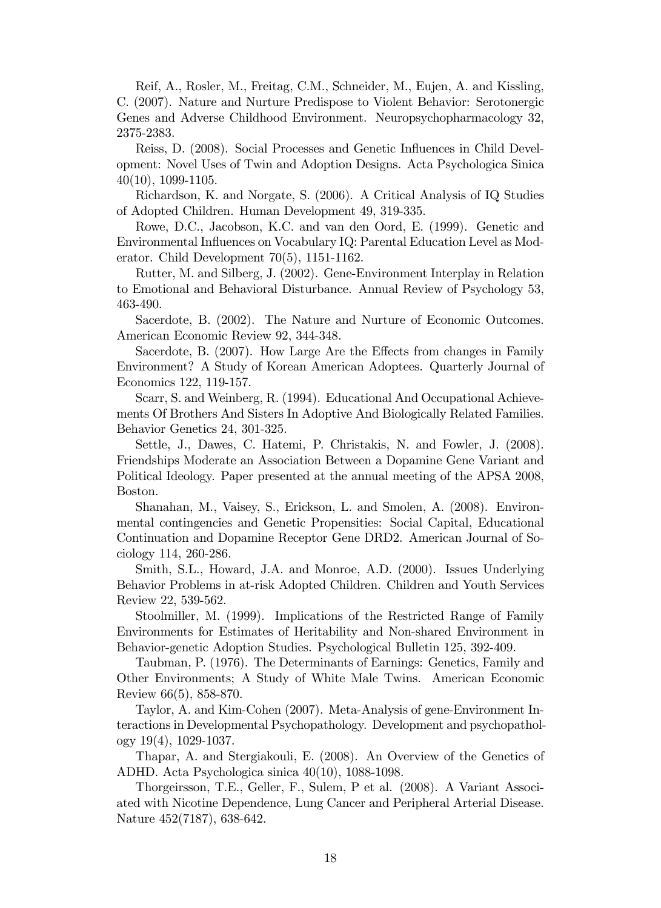Reif, A., Rosler, M., Freitag, C.M., Schneider, M., Eujen, A. and Kissling, C. (2007). Nature and Nurture Predispose to Violent Behavior: Serotonergic Genes and Adverse Childhood Environment. Neuropsychopharmacology 32, 2375-2383.

Reiss, D. (2008). Social Processes and Genetic Influences in Child Development: Novel Uses of Twin and Adoption Designs. Acta Psychologica Sinica 40(10), 1099-1105.

Richardson, K. and Norgate, S. (2006). A Critical Analysis of IQ Studies of Adopted Children. Human Development 49, 319-335.

Rowe, D.C., Jacobson, K.C. and van den Oord, E. (1999). Genetic and Environmental Ináuences on Vocabulary IQ: Parental Education Level as Moderator. Child Development 70(5), 1151-1162.

Rutter, M. and Silberg, J. (2002). Gene-Environment Interplay in Relation to Emotional and Behavioral Disturbance. Annual Review of Psychology 53, 463-490.

Sacerdote, B. (2002). The Nature and Nurture of Economic Outcomes. American Economic Review 92, 344-348.

Sacerdote, B. (2007). How Large Are the Effects from changes in Family Environment? A Study of Korean American Adoptees. Quarterly Journal of Economics 122, 119-157.

Scarr, S. and Weinberg, R. (1994). Educational And Occupational Achievements Of Brothers And Sisters In Adoptive And Biologically Related Families. Behavior Genetics 24, 301-325.

Settle, J., Dawes, C. Hatemi, P. Christakis, N. and Fowler, J. (2008). Friendships Moderate an Association Between a Dopamine Gene Variant and Political Ideology. Paper presented at the annual meeting of the APSA 2008, Boston.

Shanahan, M., Vaisey, S., Erickson, L. and Smolen, A. (2008). Environmental contingencies and Genetic Propensities: Social Capital, Educational Continuation and Dopamine Receptor Gene DRD2. American Journal of Sociology 114, 260-286.

Smith, S.L., Howard, J.A. and Monroe, A.D. (2000). Issues Underlying Behavior Problems in at-risk Adopted Children. Children and Youth Services Review 22, 539-562.

Stoolmiller, M. (1999). Implications of the Restricted Range of Family Environments for Estimates of Heritability and Non-shared Environment in Behavior-genetic Adoption Studies. Psychological Bulletin 125, 392-409.

Taubman, P. (1976). The Determinants of Earnings: Genetics, Family and Other Environments; A Study of White Male Twins. American Economic Review 66(5), 858-870.

Taylor, A. and Kim-Cohen (2007). Meta-Analysis of gene-Environment Interactions in Developmental Psychopathology. Development and psychopathology 19(4), 1029-1037.

Thapar, A. and Stergiakouli, E. (2008). An Overview of the Genetics of ADHD. Acta Psychologica sinica 40(10), 1088-1098.

Thorgeirsson, T.E., Geller, F., Sulem, P et al. (2008). A Variant Associated with Nicotine Dependence, Lung Cancer and Peripheral Arterial Disease. Nature 452(7187), 638-642.